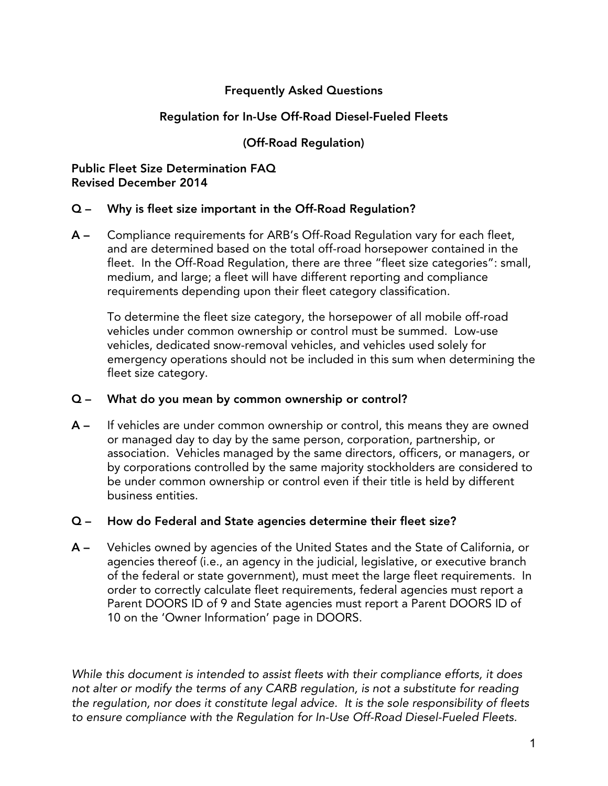# Frequently Asked Questions

### Regulation for In-Use Off-Road Diesel-Fueled Fleets

### (Off-Road Regulation)

#### Public Fleet Size Determination FAQ Revised December 2014

#### Q – Why is fleet size important in the Off-Road Regulation?

A – Compliance requirements for ARB's Off-Road Regulation vary for each fleet, and are determined based on the total off-road horsepower contained in the fleet. In the Off-Road Regulation, there are three "fleet size categories": small, medium, and large; a fleet will have different reporting and compliance requirements depending upon their fleet category classification.

To determine the fleet size category, the horsepower of all mobile off-road vehicles under common ownership or control must be summed. Low-use vehicles, dedicated snow-removal vehicles, and vehicles used solely for emergency operations should not be included in this sum when determining the fleet size category.

#### Q – What do you mean by common ownership or control?

A – If vehicles are under common ownership or control, this means they are owned or managed day to day by the same person, corporation, partnership, or association. Vehicles managed by the same directors, officers, or managers, or by corporations controlled by the same majority stockholders are considered to be under common ownership or control even if their title is held by different business entities.

#### Q – How do Federal and State agencies determine their fleet size?

A – Vehicles owned by agencies of the United States and the State of California, or agencies thereof (i.e., an agency in the judicial, legislative, or executive branch of the federal or state government), must meet the large fleet requirements. In order to correctly calculate fleet requirements, federal agencies must report a Parent DOORS ID of 9 and State agencies must report a Parent DOORS ID of 10 on the 'Owner Information' page in DOORS.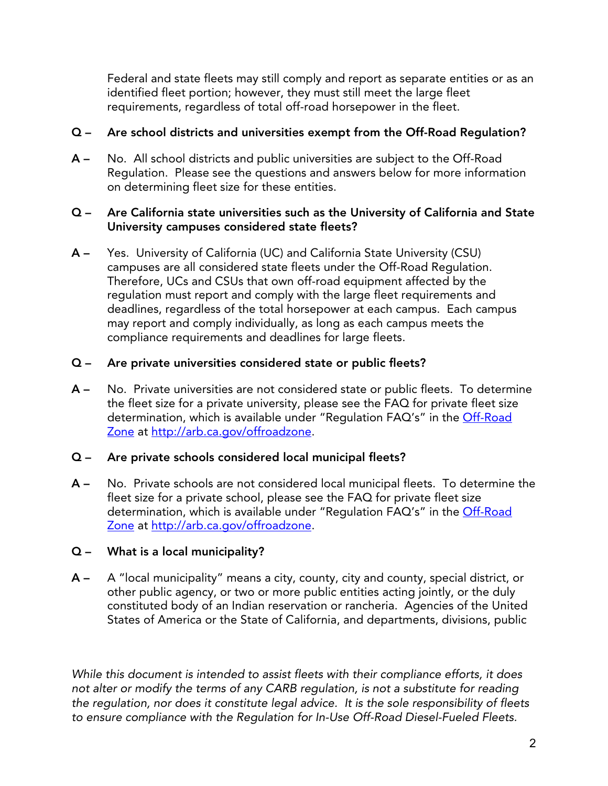Federal and state fleets may still comply and report as separate entities or as an identified fleet portion; however, they must still meet the large fleet requirements, regardless of total off-road horsepower in the fleet.

# Q – Are school districts and universities exempt from the Off-Road Regulation?

A – No. All school districts and public universities are subject to the Off-Road Regulation. Please see the questions and answers below for more information on determining fleet size for these entities.

## Q – Are California state universities such as the University of California and State University campuses considered state fleets?

A – Yes. University of California (UC) and California State University (CSU) campuses are all considered state fleets under the Off-Road Regulation. Therefore, UCs and CSUs that own off-road equipment affected by the regulation must report and comply with the large fleet requirements and deadlines, regardless of the total horsepower at each campus. Each campus may report and comply individually, as long as each campus meets the compliance requirements and deadlines for large fleets.

# Q – Are private universities considered state or public fleets?

A – No. Private universities are not considered state or public fleets. To determine the fleet size for a private university, please see the FAQ for private fleet size determination, which is available under "Regulation FAQ's" in the Off-Road [Zone](https://gcc01.safelinks.protection.outlook.com/?url=http%3A%2F%2Farb.ca.gov%2Foffroadzone&data=02%7C01%7Camritpal.sandhu%40arb.ca.gov%7C605e4c443fff414a811708d79527456c%7C9de5aaee778840b1a438c0ccc98c87cc%7C0%7C0%7C637141868211008468&sdata=lMba7UNK%2BHlEO0JfmY3RzymXNYHtIpf9y2wEjIWNMco%3D&reserved=0) at [http://arb.ca.gov/offroadzone.](http://arb.ca.gov/offroadzone)

# Q – Are private schools considered local municipal fleets?

A – No. Private schools are not considered local municipal fleets. To determine the fleet size for a private school, please see the FAQ for private fleet size determination, which is available under "Regulation FAQ's" in the *Off-Road* [Zone](https://gcc01.safelinks.protection.outlook.com/?url=http%3A%2F%2Farb.ca.gov%2Foffroadzone&data=02%7C01%7Camritpal.sandhu%40arb.ca.gov%7C605e4c443fff414a811708d79527456c%7C9de5aaee778840b1a438c0ccc98c87cc%7C0%7C0%7C637141868211008468&sdata=lMba7UNK%2BHlEO0JfmY3RzymXNYHtIpf9y2wEjIWNMco%3D&reserved=0) at [http://arb.ca.gov/offroadzone.](http://arb.ca.gov/offroadzone)

# Q – What is a local municipality?

A – A "local municipality" means a city, county, city and county, special district, or other public agency, or two or more public entities acting jointly, or the duly constituted body of an Indian reservation or rancheria. Agencies of the United States of America or the State of California, and departments, divisions, public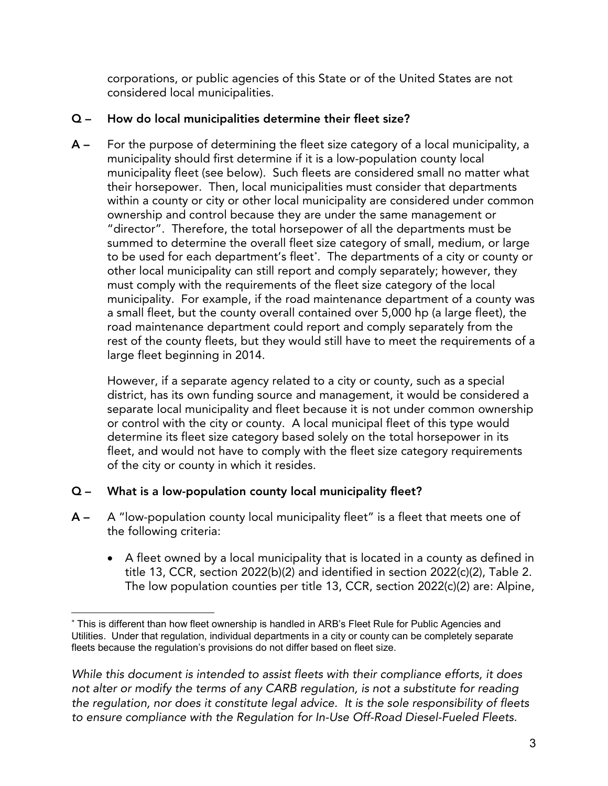corporations, or public agencies of this State or of the United States are not considered local municipalities.

# Q – How do local municipalities determine their fleet size?

A – For the purpose of determining the fleet size category of a local municipality, a municipality should first determine if it is a low-population county local municipality fleet (see below). Such fleets are considered small no matter what their horsepower. Then, local municipalities must consider that departments within a county or city or other local municipality are considered under common ownership and control because they are under the same management or "director". Therefore, the total horsepower of all the departments must be summed to determine the overall fleet size category of small, medium, or large to be used for each department's fleet[\\*](#page-2-0). The departments of a city or county or other local municipality can still report and comply separately; however, they must comply with the requirements of the fleet size category of the local municipality. For example, if the road maintenance department of a county was a small fleet, but the county overall contained over 5,000 hp (a large fleet), the road maintenance department could report and comply separately from the rest of the county fleets, but they would still have to meet the requirements of a large fleet beginning in 2014.

However, if a separate agency related to a city or county, such as a special district, has its own funding source and management, it would be considered a separate local municipality and fleet because it is not under common ownership or control with the city or county. A local municipal fleet of this type would determine its fleet size category based solely on the total horsepower in its fleet, and would not have to comply with the fleet size category requirements of the city or county in which it resides.

# Q – What is a low-population county local municipality fleet?

- A A "low-population county local municipality fleet" is a fleet that meets one of the following criteria:
	- A fleet owned by a local municipality that is located in a county as defined in title 13, CCR, section 2022(b)(2) and identified in section 2022(c)(2), Table 2. The low population counties per title 13, CCR, section 2022(c)(2) are: Alpine,

<span id="page-2-0"></span><sup>-</sup>\* This is different than how fleet ownership is handled in ARB's Fleet Rule for Public Agencies and Utilities. Under that regulation, individual departments in a city or county can be completely separate fleets because the regulation's provisions do not differ based on fleet size.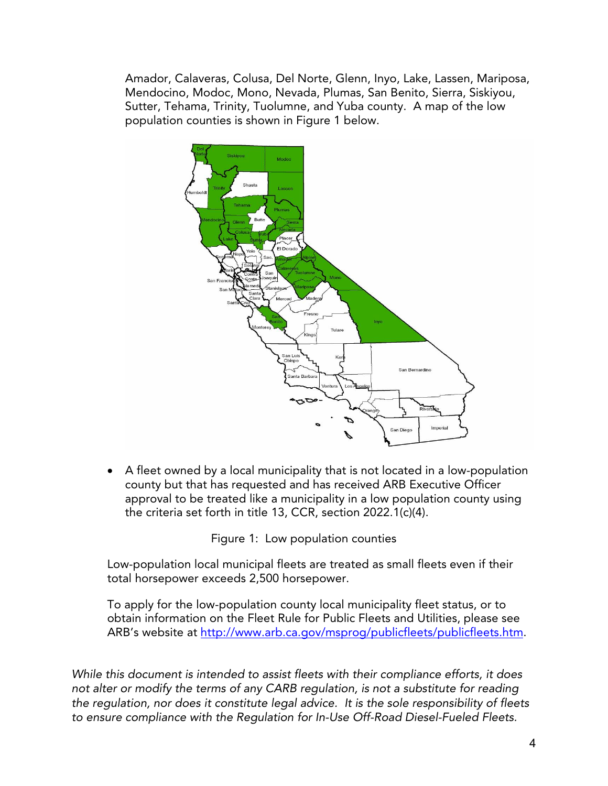Amador, Calaveras, Colusa, Del Norte, Glenn, Inyo, Lake, Lassen, Mariposa, Mendocino, Modoc, Mono, Nevada, Plumas, San Benito, Sierra, Siskiyou, Sutter, Tehama, Trinity, Tuolumne, and Yuba county. A map of the low population counties is shown in Figure 1 below.



• A fleet owned by a local municipality that is not located in a low-population county but that has requested and has received ARB Executive Officer approval to be treated like a municipality in a low population county using the criteria set forth in title 13, CCR, section 2022.1(c)(4).

Figure 1: Low population counties

Low-population local municipal fleets are treated as small fleets even if their total horsepower exceeds 2,500 horsepower.

To apply for the low-population county local municipality fleet status, or to obtain information on the Fleet Rule for Public Fleets and Utilities, please see ARB's website at [http://www.arb.ca.gov/msprog/publicfleets/publicfleets.htm.](http://www.arb.ca.gov/msprog/publicfleets/publicfleets.htm)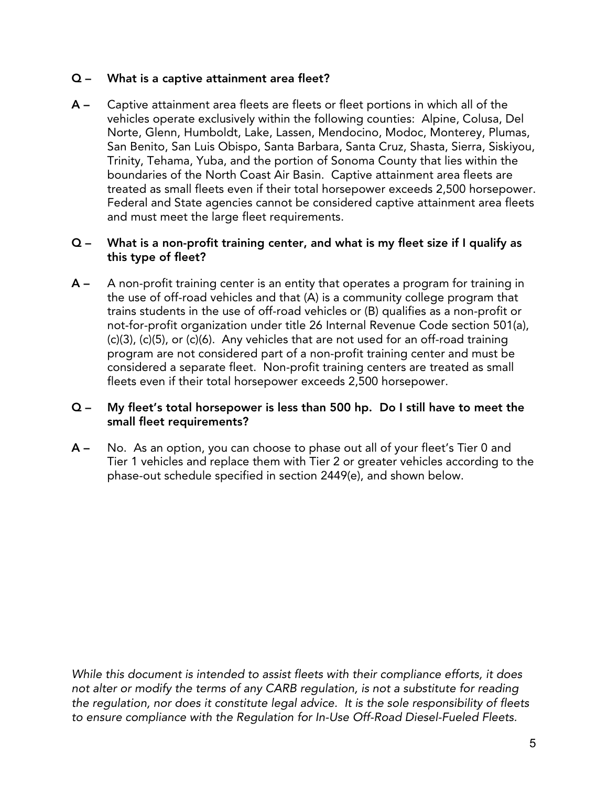## Q – What is a captive attainment area fleet?

A – Captive attainment area fleets are fleets or fleet portions in which all of the vehicles operate exclusively within the following counties: Alpine, Colusa, Del Norte, Glenn, Humboldt, Lake, Lassen, Mendocino, Modoc, Monterey, Plumas, San Benito, San Luis Obispo, Santa Barbara, Santa Cruz, Shasta, Sierra, Siskiyou, Trinity, Tehama, Yuba, and the portion of Sonoma County that lies within the boundaries of the North Coast Air Basin. Captive attainment area fleets are treated as small fleets even if their total horsepower exceeds 2,500 horsepower. Federal and State agencies cannot be considered captive attainment area fleets and must meet the large fleet requirements.

### Q – What is a non-profit training center, and what is my fleet size if I qualify as this type of fleet?

A – A non-profit training center is an entity that operates a program for training in the use of off-road vehicles and that (A) is a community college program that trains students in the use of off-road vehicles or (B) qualifies as a non-profit or not-for-profit organization under title 26 Internal Revenue Code section 501(a), (c)(3), (c)(5), or (c)(6). Any vehicles that are not used for an off-road training program are not considered part of a non-profit training center and must be considered a separate fleet. Non-profit training centers are treated as small fleets even if their total horsepower exceeds 2,500 horsepower.

### Q – My fleet's total horsepower is less than 500 hp. Do I still have to meet the small fleet requirements?

A – No. As an option, you can choose to phase out all of your fleet's Tier 0 and Tier 1 vehicles and replace them with Tier 2 or greater vehicles according to the phase-out schedule specified in section 2449(e), and shown below.